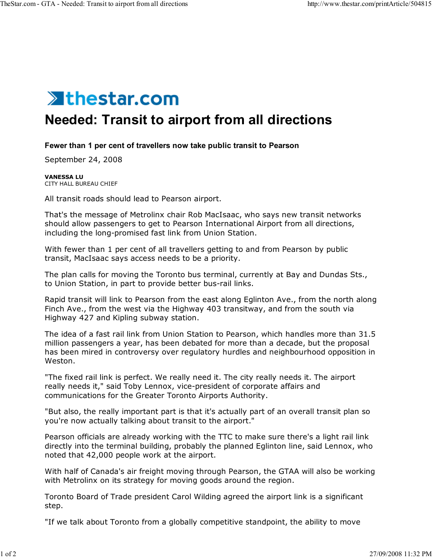

## **Needed: Transit to airport from all directions**

## **Fewer than 1 per cent of travellers now take public transit to Pearson**

September 24, 2008

**VANESSA LU** CITY HALL BUREAU CHIEF

All transit roads should lead to Pearson airport.

That's the message of Metrolinx chair Rob MacIsaac, who says new transit networks should allow passengers to get to Pearson International Airport from all directions, including the long-promised fast link from Union Station.

With fewer than 1 per cent of all travellers getting to and from Pearson by public transit, MacIsaac says access needs to be a priority.

The plan calls for moving the Toronto bus terminal, currently at Bay and Dundas Sts., to Union Station, in part to provide better bus-rail links.

Rapid transit will link to Pearson from the east along Eglinton Ave., from the north along Finch Ave., from the west via the Highway 403 transitway, and from the south via Highway 427 and Kipling subway station.

The idea of a fast rail link from Union Station to Pearson, which handles more than 31.5 million passengers a year, has been debated for more than a decade, but the proposal has been mired in controversy over regulatory hurdles and neighbourhood opposition in Weston.

"The fixed rail link is perfect. We really need it. The city really needs it. The airport really needs it," said Toby Lennox, vice-president of corporate affairs and communications for the Greater Toronto Airports Authority.

"But also, the really important part is that it's actually part of an overall transit plan so you're now actually talking about transit to the airport."

Pearson officials are already working with the TTC to make sure there's a light rail link directly into the terminal building, probably the planned Eglinton line, said Lennox, who noted that 42,000 people work at the airport.

With half of Canada's air freight moving through Pearson, the GTAA will also be working with Metrolinx on its strategy for moving goods around the region.

Toronto Board of Trade president Carol Wilding agreed the airport link is a significant step.

"If we talk about Toronto from a globally competitive standpoint, the ability to move